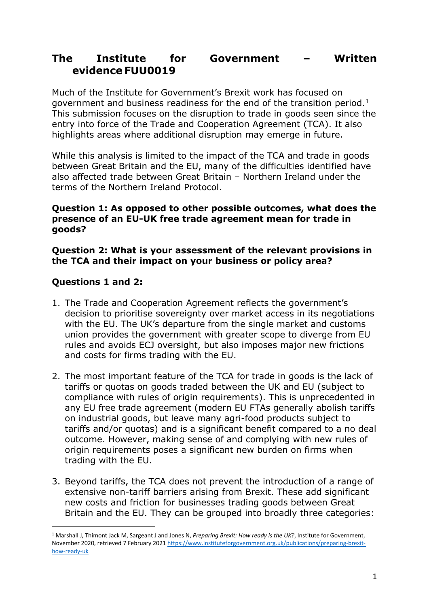# **The Institute for Government – Written evidence FUU0019**

Much of the Institute for Government's Brexit work has focused on government and business readiness for the end of the transition period.<sup>1</sup> This submission focuses on the disruption to trade in goods seen since the entry into force of the Trade and Cooperation Agreement (TCA). It also highlights areas where additional disruption may emerge in future.

While this analysis is limited to the impact of the TCA and trade in goods between Great Britain and the EU, many of the difficulties identified have also affected trade between Great Britain – Northern Ireland under the terms of the Northern Ireland Protocol.

#### **Question 1: As opposed to other possible outcomes, what does the presence of an EU-UK free trade agreement mean for trade in goods?**

#### **Question 2: What is your assessment of the relevant provisions in the TCA and their impact on your business or policy area?**

# **Questions 1 and 2:**

- 1. The Trade and Cooperation Agreement reflects the government's decision to prioritise sovereignty over market access in its negotiations with the EU. The UK's departure from the single market and customs union provides the government with greater scope to diverge from EU rules and avoids ECJ oversight, but also imposes major new frictions and costs for firms trading with the EU.
- 2. The most important feature of the TCA for trade in goods is the lack of tariffs or quotas on goods traded between the UK and EU (subject to compliance with rules of origin requirements). This is unprecedented in any EU free trade agreement (modern EU FTAs generally abolish tariffs on industrial goods, but leave many agri-food products subject to tariffs and/or quotas) and is a significant benefit compared to a no deal outcome. However, making sense of and complying with new rules of origin requirements poses a significant new burden on firms when trading with the EU.
- 3. Beyond tariffs, the TCA does not prevent the introduction of a range of extensive non-tariff barriers arising from Brexit. These add significant new costs and friction for businesses trading goods between Great Britain and the EU. They can be grouped into broadly three categories:

<sup>1</sup> Marshall J, Thimont Jack M, Sargeant J and Jones N, *Preparing Brexit: How ready is the UK?*, Institute for Government, November 2020, retrieved 7 February 2021 [https://www.instituteforgovernment.org.uk/publications/preparing-brexit](https://www.instituteforgovernment.org.uk/publications/preparing-brexit-how-ready-uk)[how-ready-uk](https://www.instituteforgovernment.org.uk/publications/preparing-brexit-how-ready-uk)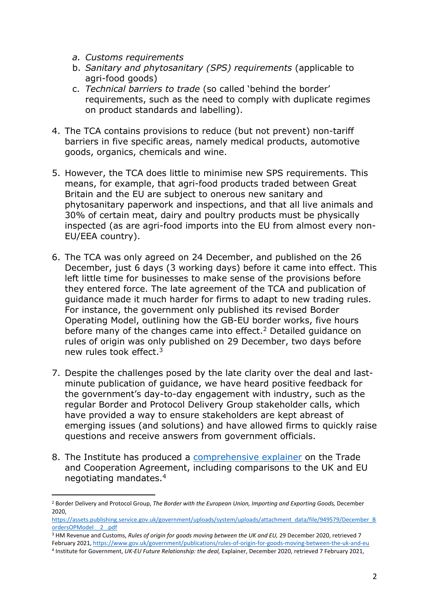- *a. Customs requirements*
- b. *Sanitary and phytosanitary (SPS) requirements* (applicable to agri-food goods)
- c. *Technical barriers to trade* (so called 'behind the border' requirements, such as the need to comply with duplicate regimes on product standards and labelling).
- 4. The TCA contains provisions to reduce (but not prevent) non-tariff barriers in five specific areas, namely medical products, automotive goods, organics, chemicals and wine.
- 5. However, the TCA does little to minimise new SPS requirements. This means, for example, that agri-food products traded between Great Britain and the EU are subject to onerous new sanitary and phytosanitary paperwork and inspections, and that all live animals and 30% of certain meat, dairy and poultry products must be physically inspected (as are agri-food imports into the EU from almost every non-EU/EEA country).
- 6. The TCA was only agreed on 24 December, and published on the 26 December, just 6 days (3 working days) before it came into effect. This left little time for businesses to make sense of the provisions before they entered force. The late agreement of the TCA and publication of guidance made it much harder for firms to adapt to new trading rules. For instance, the government only published its revised Border Operating Model, outlining how the GB-EU border works, five hours before many of the changes came into effect.<sup>2</sup> Detailed guidance on rules of origin was only published on 29 December, two days before new rules took effect.<sup>3</sup>
- 7. Despite the challenges posed by the late clarity over the deal and lastminute publication of guidance, we have heard positive feedback for the government's day-to-day engagement with industry, such as the regular Border and Protocol Delivery Group stakeholder calls, which have provided a way to ensure stakeholders are kept abreast of emerging issues (and solutions) and have allowed firms to quickly raise questions and receive answers from government officials.
- 8. The Institute has produced a [comprehensive](https://www.instituteforgovernment.org.uk/publication/future-relationship-trade-deal) [explainer](https://www.instituteforgovernment.org.uk/publication/future-relationship-trade-deal) on the Trade and Cooperation Agreement, including comparisons to the UK and EU negotiating mandates.<sup>4</sup>

<sup>3</sup> HM Revenue and Customs, *Rules of origin for goods moving between the UK and EU,* 29 December 2020, retrieved 7

<sup>2</sup> Border Delivery and Protocol Group, *The Border with the European Union, Importing and Exporting Goods,* December 2020,

[https://assets.publishing.service.gov.uk/government/uploads/system/uploads/attachment\\_data/file/949579/December\\_B](https://assets.publishing.service.gov.uk/government/uploads/system/uploads/attachment_data/file/949579/December_BordersOPModel__2_.pdf) [ordersOPModel\\_\\_2\\_.pdf](https://assets.publishing.service.gov.uk/government/uploads/system/uploads/attachment_data/file/949579/December_BordersOPModel__2_.pdf)

February 2021, <https://www.gov.uk/government/publications/rules-of-origin-for-goods-moving-between-the-uk-and-eu>

<sup>4</sup> Institute for Government, *UK-EU Future Relationship: the deal,* Explainer, December 2020, retrieved 7 February 2021,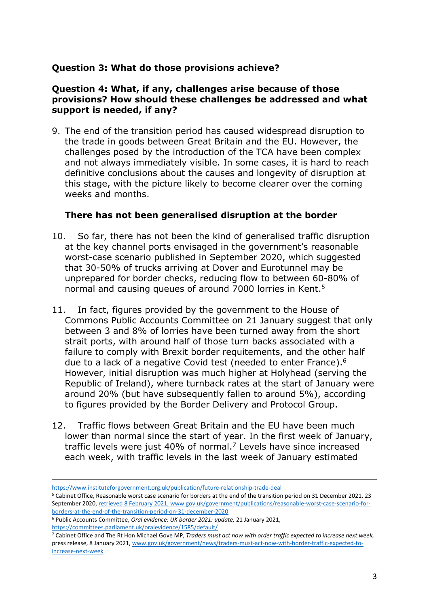# **Question 3: What do those provisions achieve?**

#### **Question 4: What, if any, challenges arise because of those provisions? How should these challenges be addressed and what support is needed, if any?**

9. The end of the transition period has caused widespread disruption to the trade in goods between Great Britain and the EU. However, the challenges posed by the introduction of the TCA have been complex and not always immediately visible. In some cases, it is hard to reach definitive conclusions about the causes and longevity of disruption at this stage, with the picture likely to become clearer over the coming weeks and months.

#### **There has not been generalised disruption at the border**

- 10. So far, there has not been the kind of generalised traffic disruption at the key channel ports envisaged in the government's reasonable worst-case scenario published in September 2020, which suggested that 30-50% of trucks arriving at Dover and Eurotunnel may be unprepared for border checks, reducing flow to between 60-80% of normal and causing queues of around 7000 lorries in Kent.<sup>5</sup>
- 11. In fact, figures provided by the government to the House of Commons Public Accounts Committee on 21 January suggest that only between 3 and 8% of lorries have been turned away from the short strait ports, with around half of those turn backs associated with a failure to comply with Brexit border requitements, and the other half due to a lack of a negative Covid test (needed to enter France).<sup>6</sup> However, initial disruption was much higher at Holyhead (serving the Republic of Ireland), where turnback rates at the start of January were around 20% (but have subsequently fallen to around 5%), according to figures provided by the Border Delivery and Protocol Group.
- 12. Traffic flows between Great Britain and the EU have been much lower than normal since the start of year. In the first week of January, traffic levels were just 40% of normal.<sup>7</sup> Levels have since increased each week, with traffic levels in the last week of January estimated

<https://www.instituteforgovernment.org.uk/publication/future-relationship-trade-deal>

<sup>5</sup> Cabinet Office, Reasonable worst case scenario for borders at the end of the transition period on 31 December 2021, 23 September 2020, retrieved 8 February 2021, www.gov.uk/government/publications/reasonable-worst-case-scenario-forborders-at-the-end-of-the-transition-period-on-31-december-2020

<sup>6</sup> Public Accounts Committee, *Oral evidence: UK border 2021: update,* 21 January 2021, <https://committees.parliament.uk/oralevidence/1585/default/>

<sup>7</sup> Cabinet Office and The Rt Hon Michael Gove MP, *Traders must act now with order traffic expected to increase next week,* press release, 8 January 2021, [www.gov.uk/government/news/traders-must-act-now-with-border-traffic-expected-to](https://www.gov.uk/government/news/traders-must-act-now-with-border-traffic-expected-to-increase-next-week)[increase-next-week](https://www.gov.uk/government/news/traders-must-act-now-with-border-traffic-expected-to-increase-next-week)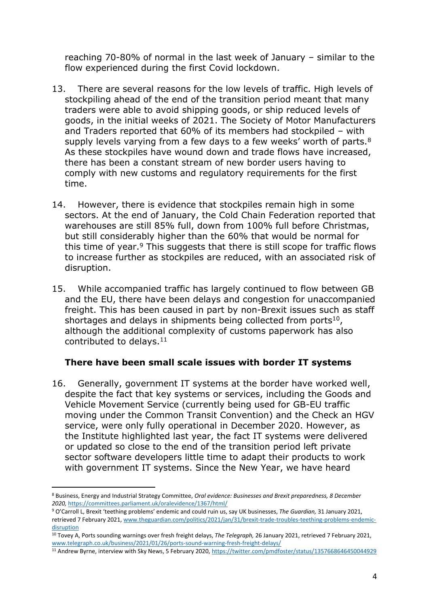reaching 70-80% of normal in the last week of January – similar to the flow experienced during the first Covid lockdown.

- 13. There are several reasons for the low levels of traffic. High levels of stockpiling ahead of the end of the transition period meant that many traders were able to avoid shipping goods, or ship reduced levels of goods, in the initial weeks of 2021. The Society of Motor Manufacturers and Traders reported that 60% of its members had stockpiled – with supply levels varying from a few days to a few weeks' worth of parts.<sup>8</sup> As these stockpiles have wound down and trade flows have increased, there has been a constant stream of new border users having to comply with new customs and regulatory requirements for the first time.
- 14. However, there is evidence that stockpiles remain high in some sectors. At the end of January, the Cold Chain Federation reported that warehouses are still 85% full, down from 100% full before Christmas, but still considerably higher than the 60% that would be normal for this time of year.<sup>9</sup> This suggests that there is still scope for traffic flows to increase further as stockpiles are reduced, with an associated risk of disruption.
- 15. While accompanied traffic has largely continued to flow between GB and the EU, there have been delays and congestion for unaccompanied freight. This has been caused in part by non-Brexit issues such as staff shortages and delays in shipments being collected from ports $10$ , although the additional complexity of customs paperwork has also contributed to delays.<sup>11</sup>

#### **There have been small scale issues with border IT systems**

16. Generally, government IT systems at the border have worked well, despite the fact that key systems or services, including the Goods and Vehicle Movement Service (currently being used for GB-EU traffic moving under the Common Transit Convention) and the Check an HGV service, were only fully operational in December 2020. However, as the Institute highlighted last year, the fact IT systems were delivered or updated so close to the end of the transition period left private sector software developers little time to adapt their products to work with government IT systems. Since the New Year, we have heard

<sup>8</sup> Business, Energy and Industrial Strategy Committee, *Oral evidence: Businesses and Brexit preparedness, 8 December 2020,* <https://committees.parliament.uk/oralevidence/1367/html/>

<sup>9</sup> O'Carroll L, Brexit 'teething problems' endemic and could ruin us, say UK businesses, *The Guardian,* 31 January 2021, retrieved 7 February 2021, [www.theguardian.com/politics/2021/jan/31/brexit-trade-troubles-teething-problems-endemic](https://www.theguardian.com/politics/2021/jan/31/brexit-trade-troubles-teething-problems-endemic-disruption)[disruption](https://www.theguardian.com/politics/2021/jan/31/brexit-trade-troubles-teething-problems-endemic-disruption)

<sup>10</sup> Tovey A, Ports sounding warnings over fresh freight delays, *The Telegraph,* 26 January 2021, retrieved 7 February 2021, [www.telegraph.co.uk/business/2021/01/26/ports-sound-warning-fresh-freight-delays/](https://www.telegraph.co.uk/business/2021/01/26/ports-sound-warning-fresh-freight-delays/)

<sup>11</sup> Andrew Byrne, interview with Sky News, 5 February 2020, <https://twitter.com/pmdfoster/status/1357668646450044929>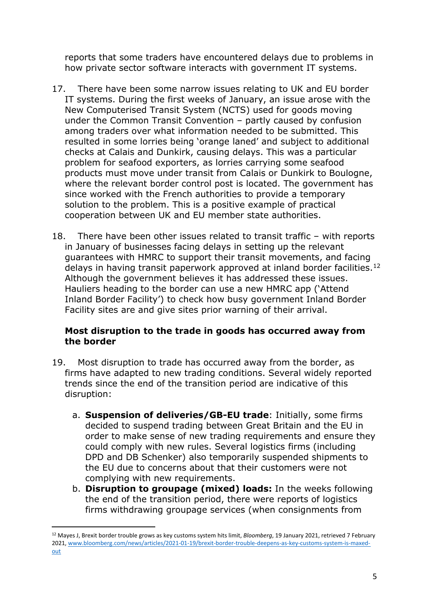reports that some traders have encountered delays due to problems in how private sector software interacts with government IT systems.

- 17. There have been some narrow issues relating to UK and EU border IT systems. During the first weeks of January, an issue arose with the New Computerised Transit System (NCTS) used for goods moving under the Common Transit Convention – partly caused by confusion among traders over what information needed to be submitted. This resulted in some lorries being 'orange laned' and subject to additional checks at Calais and Dunkirk, causing delays. This was a particular problem for seafood exporters, as lorries carrying some seafood products must move under transit from Calais or Dunkirk to Boulogne, where the relevant border control post is located. The government has since worked with the French authorities to provide a temporary solution to the problem. This is a positive example of practical cooperation between UK and EU member state authorities.
- 18. There have been other issues related to transit traffic with reports in January of businesses facing delays in setting up the relevant guarantees with HMRC to support their transit movements, and facing delays in having transit paperwork approved at inland border facilities.<sup>12</sup> Although the government believes it has addressed these issues. Hauliers heading to the border can use a new HMRC app ('Attend Inland Border Facility') to check how busy government Inland Border Facility sites are and give sites prior warning of their arrival.

## **Most disruption to the trade in goods has occurred away from the border**

- 19. Most disruption to trade has occurred away from the border, as firms have adapted to new trading conditions. Several widely reported trends since the end of the transition period are indicative of this disruption:
	- a. **Suspension of deliveries/GB-EU trade**: Initially, some firms decided to suspend trading between Great Britain and the EU in order to make sense of new trading requirements and ensure they could comply with new rules. Several logistics firms (including DPD and DB Schenker) also temporarily suspended shipments to the EU due to concerns about that their customers were not complying with new requirements.
	- b. **Disruption to groupage (mixed) loads:** In the weeks following the end of the transition period, there were reports of logistics firms withdrawing groupage services (when consignments from

<sup>12</sup> Mayes J, Brexit border trouble grows as key customs system hits limit, *Bloomberg*, 19 January 2021, retrieved 7 February 2021, [www.bloomberg.com/news/articles/2021-01-19/brexit-border-trouble-deepens-as-key-customs-system-is-maxed](http://www.bloomberg.com/news/articles/2021-01-19/brexit-border-trouble-deepens-as-key-customs-system-is-maxed-out)[out](http://www.bloomberg.com/news/articles/2021-01-19/brexit-border-trouble-deepens-as-key-customs-system-is-maxed-out)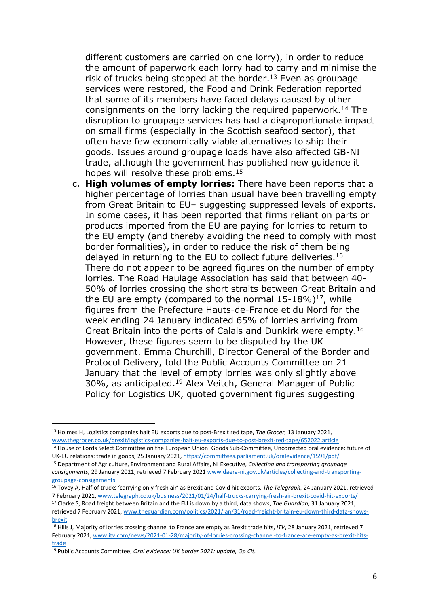different customers are carried on one lorry), in order to reduce the amount of paperwork each lorry had to carry and minimise the risk of trucks being stopped at the border.<sup>13</sup> Even as groupage services were restored, the Food and Drink Federation reported that some of its members have faced delays caused by other consignments on the lorry lacking the required paperwork.<sup>14</sup> The disruption to groupage services has had a disproportionate impact on small firms (especially in the Scottish seafood sector), that often have few economically viable alternatives to ship their goods. Issues around groupage loads have also affected GB-NI trade, although the government has published new guidance it hopes will resolve these problems.<sup>15</sup>

c. **High volumes of empty lorries:** There have been reports that a higher percentage of lorries than usual have been travelling empty from Great Britain to EU– suggesting suppressed levels of exports. In some cases, it has been reported that firms reliant on parts or products imported from the EU are paying for lorries to return to the EU empty (and thereby avoiding the need to comply with most border formalities), in order to reduce the risk of them being delayed in returning to the EU to collect future deliveries.<sup>16</sup> There do not appear to be agreed figures on the number of empty lorries. The Road Haulage Association has said that between 40- 50% of lorries crossing the short straits between Great Britain and the EU are empty (compared to the normal  $15-18\%$ )<sup>17</sup>, while figures from the Prefecture Hauts-de-France et du Nord for the week ending 24 January indicated 65% of lorries arriving from Great Britain into the ports of Calais and Dunkirk were empty.<sup>18</sup> However, these figures seem to be disputed by the UK government. Emma Churchill, Director General of the Border and Protocol Delivery, told the Public Accounts Committee on 21 January that the level of empty lorries was only slightly above 30%, as anticipated.<sup>19</sup> Alex Veitch, General Manager of Public Policy for Logistics UK, quoted government figures suggesting

<sup>14</sup> House of Lords Select Committee on the European Union: Goods Sub-Committee, Uncorrected oral evidence: future of UK-EU relations: trade in goods, 25 January 2021, <https://committees.parliament.uk/oralevidence/1591/pdf/>

<sup>13</sup> Holmes H, Logistics companies halt EU exports due to post-Brexit red tape, *The Grocer,* 13 January 2021, [www.thegrocer.co.uk/brexit/logistics-companies-halt-eu-exports-due-to-post-brexit-red-tape/652022.article](http://www.thegrocer.co.uk/brexit/logistics-companies-halt-eu-exports-due-to-post-brexit-red-tape/652022.article)

<sup>15</sup> Department of Agriculture, Environment and Rural Affairs, NI Executive, *Collecting and transporting groupage consignments,* 29 January 2021, retrieved 7 February 2021 [www.daera-ni.gov.uk/articles/collecting-and-transporting](http://www.daera-ni.gov.uk/articles/collecting-and-transporting-groupage-consignments)[groupage-consignments](http://www.daera-ni.gov.uk/articles/collecting-and-transporting-groupage-consignments)

<sup>16</sup> Tovey A, Half of trucks 'carrying only fresh air' as Brexit and Covid hit exports, *The Telegraph,* 24 January 2021, retrieved 7 February 2021, [www.telegraph.co.uk/business/2021/01/24/half-trucks-carrying-fresh-air-brexit-covid-hit-exports/](https://www.telegraph.co.uk/business/2021/01/24/half-trucks-carrying-fresh-air-brexit-covid-hit-exports/)

<sup>17</sup> Clarke S, Road freight between Britain and the EU is down by a third, data shows, *The Guardian,* 31 January 2021, retrieved 7 February 2021, [www.theguardian.com/politics/2021/jan/31/road-freight-britain-eu-down-third-data-shows](http://www.theguardian.com/politics/2021/jan/31/road-freight-britain-eu-down-third-data-shows-brexit)[brexit](http://www.theguardian.com/politics/2021/jan/31/road-freight-britain-eu-down-third-data-shows-brexit)

<sup>18</sup> Hills J, Majority of lorries crossing channel to France are empty as Brexit trade hits, *ITV*, 28 January 2021, retrieved 7 February 2021, [www.itv.com/news/2021-01-28/majority-of-lorries-crossing-channel-to-france-are-empty-as-brexit-hits](http://www.itv.com/news/2021-01-28/majority-of-lorries-crossing-channel-to-france-are-empty-as-brexit-hits-trade)[trade](http://www.itv.com/news/2021-01-28/majority-of-lorries-crossing-channel-to-france-are-empty-as-brexit-hits-trade)

<sup>19</sup> Public Accounts Committee, *Oral evidence: UK border 2021: update, Op Cit.*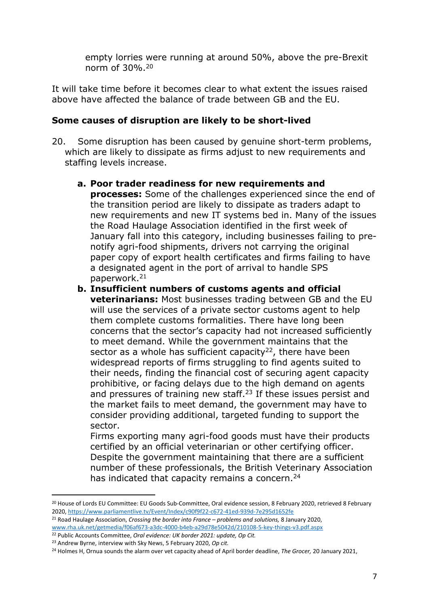empty lorries were running at around 50%, above the pre-Brexit norm of 30%.<sup>20</sup>

It will take time before it becomes clear to what extent the issues raised above have affected the balance of trade between GB and the EU.

## **Some causes of disruption are likely to be short-lived**

- 20. Some disruption has been caused by genuine short-term problems, which are likely to dissipate as firms adjust to new requirements and staffing levels increase.
	- **a. Poor trader readiness for new requirements and processes:** Some of the challenges experienced since the end of the transition period are likely to dissipate as traders adapt to new requirements and new IT systems bed in. Many of the issues the Road Haulage Association identified in the first week of January fall into this category, including businesses failing to prenotify agri-food shipments, drivers not carrying the original paper copy of export health certificates and firms failing to have a designated agent in the port of arrival to handle SPS paperwork.<sup>21</sup>
	- **b. Insufficient numbers of customs agents and official veterinarians:** Most businesses trading between GB and the EU will use the services of a private sector customs agent to help them complete customs formalities. There have long been concerns that the sector's capacity had not increased sufficiently to meet demand. While the government maintains that the sector as a whole has sufficient capacity<sup>22</sup>, there have been widespread reports of firms struggling to find agents suited to their needs, finding the financial cost of securing agent capacity prohibitive, or facing delays due to the high demand on agents and pressures of training new staff.<sup>23</sup> If these issues persist and the market fails to meet demand, the government may have to consider providing additional, targeted funding to support the sector.

Firms exporting many agri-food goods must have their products certified by an official veterinarian or other certifying officer. Despite the government maintaining that there are a sufficient number of these professionals, the British Veterinary Association has indicated that capacity remains a concern.<sup>24</sup>

<sup>21</sup> Road Haulage Association, *Crossing the border into France – problems and solutions,* 8 January 2020, [www.rha.uk.net/getmedia/f06af673-a3dc-4000-b4eb-a29d78e5042d/210108-5-key-things-v3.pdf.aspx](http://www.rha.uk.net/getmedia/f06af673-a3dc-4000-b4eb-a29d78e5042d/210108-5-key-things-v3.pdf.aspx)

<sup>&</sup>lt;sup>20</sup> House of Lords EU Committee: EU Goods Sub-Committee, Oral evidence session, 8 February 2020, retrieved 8 February 2020, <https://www.parliamentlive.tv/Event/Index/c90f9f22-c672-41ed-939d-7e295d1652fe>

<sup>22</sup> Public Accounts Committee, *Oral evidence: UK border 2021: update, Op Cit.*

<sup>23</sup> Andrew Byrne, interview with Sky News, 5 February 2020, *Op cit.*

<sup>24</sup> Holmes H, Ornua sounds the alarm over vet capacity ahead of April border deadline, *The Grocer,* 20 January 2021,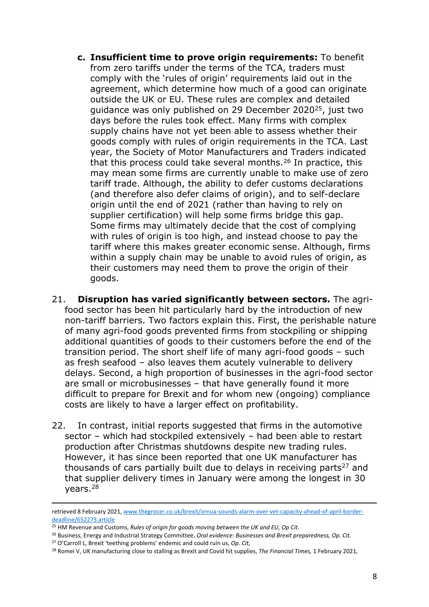- **c. Insufficient time to prove origin requirements:** To benefit from zero tariffs under the terms of the TCA, traders must comply with the 'rules of origin' requirements laid out in the agreement, which determine how much of a good can originate outside the UK or EU. These rules are complex and detailed guidance was only published on 29 December 2020<sup>25</sup>, just two days before the rules took effect. Many firms with complex supply chains have not yet been able to assess whether their goods comply with rules of origin requirements in the TCA. Last year, the Society of Motor Manufacturers and Traders indicated that this process could take several months.<sup>26</sup> In practice, this may mean some firms are currently unable to make use of zero tariff trade. Although, the ability to defer customs declarations (and therefore also defer claims of origin), and to self-declare origin until the end of 2021 (rather than having to rely on supplier certification) will help some firms bridge this gap. Some firms may ultimately decide that the cost of complying with rules of origin is too high, and instead choose to pay the tariff where this makes greater economic sense. Although, firms within a supply chain may be unable to avoid rules of origin, as their customers may need them to prove the origin of their goods.
- 21. **Disruption has varied significantly between sectors.** The agrifood sector has been hit particularly hard by the introduction of new non-tariff barriers. Two factors explain this. First, the perishable nature of many agri-food goods prevented firms from stockpiling or shipping additional quantities of goods to their customers before the end of the transition period. The short shelf life of many agri-food goods – such as fresh seafood – also leaves them acutely vulnerable to delivery delays. Second, a high proportion of businesses in the agri-food sector are small or microbusinesses – that have generally found it more difficult to prepare for Brexit and for whom new (ongoing) compliance costs are likely to have a larger effect on profitability.
- 22. In contrast, initial reports suggested that firms in the automotive sector – which had stockpiled extensively – had been able to restart production after Christmas shutdowns despite new trading rules. However, it has since been reported that one UK manufacturer has thousands of cars partially built due to delays in receiving parts $27$  and that supplier delivery times in January were among the longest in 30 years.<sup>28</sup>

retrieved 8 February 2021, [www.thegrocer.co.uk/brexit/ornua-sounds-alarm-over-vet-capacity-ahead-of-april-border](http://www.thegrocer.co.uk/brexit/ornua-sounds-alarm-over-vet-capacity-ahead-of-april-border-deadline/652273.article)[deadline/652273.article](http://www.thegrocer.co.uk/brexit/ornua-sounds-alarm-over-vet-capacity-ahead-of-april-border-deadline/652273.article)

<sup>25</sup> HM Revenue and Customs, *Rules of origin for goods moving between the UK and EU, Op Cit.*

<sup>26</sup> Business, Energy and Industrial Strategy Committee, *Oral evidence: Businesses and Brexit preparedness, Op. Cit.*

<sup>27</sup> O'Carroll L, Brexit 'teething problems' endemic and could ruin us, *Op. Cit,*

<sup>28</sup> Romei V, UK manufacturing close to stalling as Brexit and Covid hit supplies, *The Financial Times,* 1 February 2021,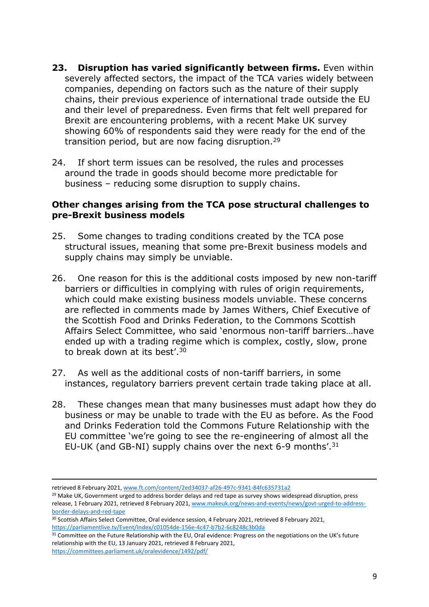- **23. Disruption has varied significantly between firms.** Even within severely affected sectors, the impact of the TCA varies widely between companies, depending on factors such as the nature of their supply chains, their previous experience of international trade outside the EU and their level of preparedness. Even firms that felt well prepared for Brexit are encountering problems, with a recent Make UK survey showing 60% of respondents said they were ready for the end of the transition period, but are now facing disruption.<sup>29</sup>
- 24. If short term issues can be resolved, the rules and processes around the trade in goods should become more predictable for business – reducing some disruption to supply chains.

#### **Other changes arising from the TCA pose structural challenges to pre-Brexit business models**

- 25. Some changes to trading conditions created by the TCA pose structural issues, meaning that some pre-Brexit business models and supply chains may simply be unviable.
- 26. One reason for this is the additional costs imposed by new non-tariff barriers or difficulties in complying with rules of origin requirements, which could make existing business models unviable. These concerns are reflected in comments made by James Withers, Chief Executive of the Scottish Food and Drinks Federation, to the Commons Scottish Affairs Select Committee, who said 'enormous non-tariff barriers…have ended up with a trading regime which is complex, costly, slow, prone to break down at its best'.<sup>30</sup>
- 27. As well as the additional costs of non-tariff barriers, in some instances, regulatory barriers prevent certain trade taking place at all.
- 28. These changes mean that many businesses must adapt how they do business or may be unable to trade with the EU as before. As the Food and Drinks Federation told the Commons Future Relationship with the EU committee 'we're going to see the re-engineering of almost all the EU-UK (and GB-NI) supply chains over the next 6-9 months'.<sup>31</sup>

<sup>29</sup> Make UK, Government urged to address border delays and red tape as survey shows widespread disruption, press release, 1 February 2021, retrieved 8 February 2021, [www.makeuk.org/news-and-events/news/govt-urged-to-address](http://www.makeuk.org/news-and-events/news/govt-urged-to-address-border-delays-and-red-tape)[border-delays-and-red-tape](http://www.makeuk.org/news-and-events/news/govt-urged-to-address-border-delays-and-red-tape)

retrieved 8 February 2021, [www.ft.com/content/2ed34037-af26-497c-9341-84fc635731a2](https://www.ft.com/content/2ed34037-af26-497c-9341-84fc635731a2)

<sup>&</sup>lt;sup>30</sup> Scottish Affairs Select Committee, Oral evidence session, 4 February 2021, retrieved 8 February 2021, <https://parliamentlive.tv/Event/Index/c01054de-156e-4c47-b7b2-6c8248c3b0da>

<sup>&</sup>lt;sup>31</sup> Committee on the Future Relationship with the EU, Oral evidence: Progress on the negotiations on the UK's future relationship with the EU, 13 January 2021, retrieved 8 February 2021, <https://committees.parliament.uk/oralevidence/1492/pdf/>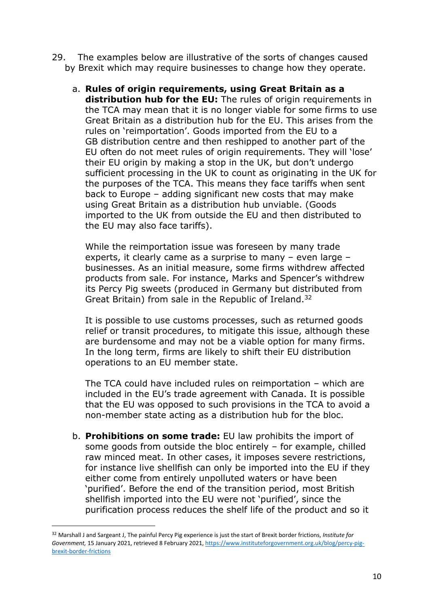- 29. The examples below are illustrative of the sorts of changes caused by Brexit which may require businesses to change how they operate.
	- a. **Rules of origin requirements, using Great Britain as a distribution hub for the EU:** The rules of origin requirements in the TCA may mean that it is no longer viable for some firms to use Great Britain as a distribution hub for the EU. This arises from the rules on 'reimportation'. Goods imported from the EU to a GB distribution centre and then reshipped to another part of the EU often do not meet rules of origin requirements. They will 'lose' their EU origin by making a stop in the UK, but don't undergo sufficient processing in the UK to count as originating in the UK for the purposes of the TCA. This means they face tariffs when sent back to Europe – adding significant new costs that may make using Great Britain as a distribution hub unviable. (Goods imported to the UK from outside the EU and then distributed to the EU may also face tariffs).

While the reimportation issue was foreseen by many trade experts, it clearly came as a surprise to many – even large – businesses. As an initial measure, some firms withdrew affected products from sale. For instance, Marks and Spencer's withdrew its Percy Pig sweets (produced in Germany but distributed from Great Britain) from sale in the Republic of Ireland.<sup>32</sup>

It is possible to use customs processes, such as returned goods relief or transit procedures, to mitigate this issue, although these are burdensome and may not be a viable option for many firms. In the long term, firms are likely to shift their EU distribution operations to an EU member state.

The TCA could have included rules on reimportation – which are included in the EU's trade agreement with Canada. It is possible that the EU was opposed to such provisions in the TCA to avoid a non-member state acting as a distribution hub for the bloc.

b. **Prohibitions on some trade:** EU law prohibits the import of some goods from outside the bloc entirely – for example, chilled raw minced meat. In other cases, it imposes severe restrictions, for instance live shellfish can only be imported into the EU if they either come from entirely unpolluted waters or have been 'purified'. Before the end of the transition period, most British shellfish imported into the EU were not 'purified', since the purification process reduces the shelf life of the product and so it

<sup>32</sup> Marshall J and Sargeant J, The painful Percy Pig experience is just the start of Brexit border frictions, *Institute for Government,* 15 January 2021, retrieved 8 February 2021, [https://www.instituteforgovernment.org.uk/blog/percy-pig](https://www.instituteforgovernment.org.uk/blog/percy-pig-brexit-border-frictions)[brexit-border-frictions](https://www.instituteforgovernment.org.uk/blog/percy-pig-brexit-border-frictions)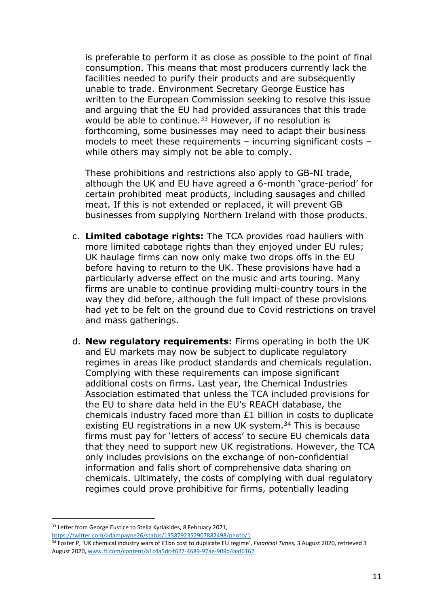is preferable to perform it as close as possible to the point of final consumption. This means that most producers currently lack the facilities needed to purify their products and are subsequently unable to trade. Environment Secretary George Eustice has written to the European Commission seeking to resolve this issue and arguing that the EU had provided assurances that this trade would be able to continue.<sup>33</sup> However, if no resolution is forthcoming, some businesses may need to adapt their business models to meet these requirements – incurring significant costs – while others may simply not be able to comply.

These prohibitions and restrictions also apply to GB-NI trade, although the UK and EU have agreed a 6-month 'grace-period' for certain prohibited meat products, including sausages and chilled meat. If this is not extended or replaced, it will prevent GB businesses from supplying Northern Ireland with those products.

- c. **Limited cabotage rights:** The TCA provides road hauliers with more limited cabotage rights than they enjoyed under EU rules; UK haulage firms can now only make two drops offs in the EU before having to return to the UK. These provisions have had a particularly adverse effect on the music and arts touring. Many firms are unable to continue providing multi-country tours in the way they did before, although the full impact of these provisions had yet to be felt on the ground due to Covid restrictions on travel and mass gatherings.
- d. **New regulatory requirements:** Firms operating in both the UK and EU markets may now be subject to duplicate regulatory regimes in areas like product standards and chemicals regulation. Complying with these requirements can impose significant additional costs on firms. Last year, the Chemical Industries Association estimated that unless the TCA included provisions for the EU to share data held in the EU's REACH database, the chemicals industry faced more than  $£1$  billion in costs to duplicate existing EU registrations in a new UK system.<sup>34</sup> This is because firms must pay for 'letters of access' to secure EU chemicals data that they need to support new UK registrations. However, the TCA only includes provisions on the exchange of non-confidential information and falls short of comprehensive data sharing on chemicals. Ultimately, the costs of complying with dual regulatory regimes could prove prohibitive for firms, potentially leading

<sup>&</sup>lt;sup>33</sup> Letter from George Eustice to Stella Kyriakides, 8 February 2021, <https://twitter.com/adampayne26/status/1358792352907882498/photo/1>

<sup>34</sup> Foster P, 'UK chemical industry wars of £1bn cost to duplicate EU regime', *Financial Times,* 3 August 2020, retrieved 3 August 2020, [www.ft.com/content/a1c4a5dc-f627-4689-97ae-909d4aaf6162](https://www.ft.com/content/a1c4a5dc-f627-4689-97ae-909d4aaf6162)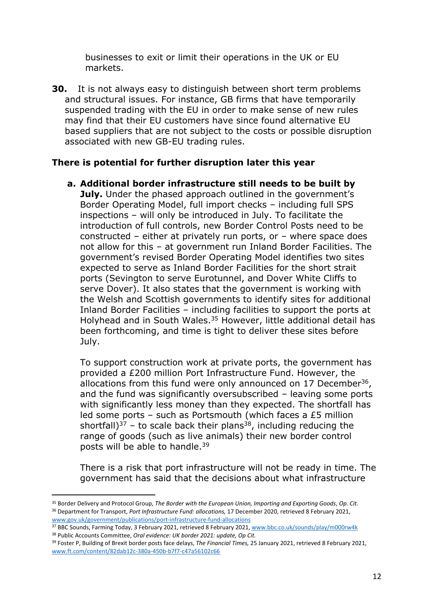businesses to exit or limit their operations in the UK or EU markets.

**30.** It is not always easy to distinguish between short term problems and structural issues. For instance, GB firms that have temporarily suspended trading with the EU in order to make sense of new rules may find that their EU customers have since found alternative EU based suppliers that are not subject to the costs or possible disruption associated with new GB-EU trading rules.

## **There is potential for further disruption later this year**

**a. Additional border infrastructure still needs to be built by July.** Under the phased approach outlined in the government's Border Operating Model, full import checks – including full SPS inspections – will only be introduced in July. To facilitate the introduction of full controls, new Border Control Posts need to be constructed – either at privately run ports, or – where space does not allow for this – at government run Inland Border Facilities. The government's revised Border Operating Model identifies two sites expected to serve as Inland Border Facilities for the short strait ports (Sevington to serve Eurotunnel, and Dover White Cliffs to serve Dover). It also states that the government is working with the Welsh and Scottish governments to identify sites for additional Inland Border Facilities – including facilities to support the ports at Holyhead and in South Wales.<sup>35</sup> However, little additional detail has been forthcoming, and time is tight to deliver these sites before July.

To support construction work at private ports, the government has provided a £200 million Port Infrastructure Fund. However, the allocations from this fund were only announced on 17 December<sup>36</sup>, and the fund was significantly oversubscribed – leaving some ports with significantly less money than they expected. The shortfall has led some ports – such as Portsmouth (which faces a £5 million shortfall)<sup>37</sup> – to scale back their plans<sup>38</sup>, including reducing the range of goods (such as live animals) their new border control posts will be able to handle.<sup>39</sup>

There is a risk that port infrastructure will not be ready in time. The government has said that the decisions about what infrastructure

<sup>35</sup> Border Delivery and Protocol Group, *The Border with the European Union, Importing and Exporting Goods*, *Op. Cit.* <sup>36</sup> Department for Transport, *Port Infrastructure Fund: allocations,* 17 December 2020, retrieved 8 February 2021, [www.gov.uk/government/publications/port-infrastructure-fund-allocations](https://www.gov.uk/government/publications/port-infrastructure-fund-allocations)

<sup>37</sup> BBC Sounds, Farming Today, 3 February 2021, retrieved 8 February 2021, [www.bbc.co.uk/sounds/play/m000rw4k](http://www.bbc.co.uk/sounds/play/m000rw4k)

<sup>38</sup> Public Accounts Committee, *Oral evidence: UK border 2021: update, Op Cit.*

<sup>39</sup> Foster P, Building of Brexit border posts face delays, *The Financial Times,* 25 January 2021, retrieved 8 February 2021, [www.ft.com/content/82dab12c-380a-450b-b7f7-c47a56102c66](http://www.ft.com/content/82dab12c-380a-450b-b7f7-c47a56102c66)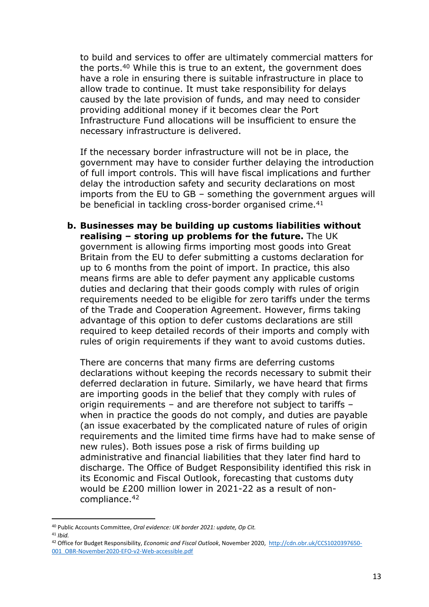to build and services to offer are ultimately commercial matters for the ports.<sup>40</sup> While this is true to an extent, the government does have a role in ensuring there is suitable infrastructure in place to allow trade to continue. It must take responsibility for delays caused by the late provision of funds, and may need to consider providing additional money if it becomes clear the Port Infrastructure Fund allocations will be insufficient to ensure the necessary infrastructure is delivered.

If the necessary border infrastructure will not be in place, the government may have to consider further delaying the introduction of full import controls. This will have fiscal implications and further delay the introduction safety and security declarations on most imports from the EU to GB – something the government argues will be beneficial in tackling cross-border organised crime.<sup>41</sup>

**b. Businesses may be building up customs liabilities without realising – storing up problems for the future.** The UK government is allowing firms importing most goods into Great Britain from the EU to defer submitting a customs declaration for up to 6 months from the point of import. In practice, this also means firms are able to defer payment any applicable customs duties and declaring that their goods comply with rules of origin requirements needed to be eligible for zero tariffs under the terms of the Trade and Cooperation Agreement. However, firms taking advantage of this option to defer customs declarations are still required to keep detailed records of their imports and comply with rules of origin requirements if they want to avoid customs duties.

There are concerns that many firms are deferring customs declarations without keeping the records necessary to submit their deferred declaration in future. Similarly, we have heard that firms are importing goods in the belief that they comply with rules of origin requirements – and are therefore not subject to tariffs – when in practice the goods do not comply, and duties are payable (an issue exacerbated by the complicated nature of rules of origin requirements and the limited time firms have had to make sense of new rules). Both issues pose a risk of firms building up administrative and financial liabilities that they later find hard to discharge. The Office of Budget Responsibility identified this risk in its Economic and Fiscal Outlook, forecasting that customs duty would be £200 million lower in 2021-22 as a result of noncompliance.<sup>42</sup>

<sup>40</sup> Public Accounts Committee, *Oral evidence: UK border 2021: update, Op Cit.*

<sup>41</sup> *Ibid.*

<sup>42</sup> Office for Budget Responsibility, *Economic and Fiscal Outlook*, November 2020, [http://cdn.obr.uk/CCS1020397650-](http://cdn.obr.uk/CCS1020397650-001_OBR-November2020-EFO-v2-Web-accessible.pdf) [001\\_OBR-November2020-EFO-v2-Web-accessible.pdf](http://cdn.obr.uk/CCS1020397650-001_OBR-November2020-EFO-v2-Web-accessible.pdf)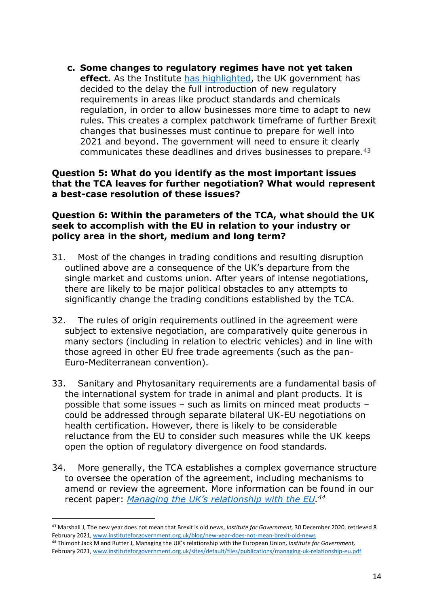**c. Some changes to regulatory regimes have not yet taken effect.** As the Institute [has](https://www.instituteforgovernment.org.uk/blog/new-year-does-not-mean-brexit-old-news) [highlighted](https://www.instituteforgovernment.org.uk/blog/new-year-does-not-mean-brexit-old-news), the UK government has decided to the delay the full introduction of new regulatory requirements in areas like product standards and chemicals regulation, in order to allow businesses more time to adapt to new rules. This creates a complex patchwork timeframe of further Brexit changes that businesses must continue to prepare for well into 2021 and beyond. The government will need to ensure it clearly communicates these deadlines and drives businesses to prepare.<sup>43</sup>

#### **Question 5: What do you identify as the most important issues that the TCA leaves for further negotiation? What would represent a best-case resolution of these issues?**

#### **Question 6: Within the parameters of the TCA, what should the UK seek to accomplish with the EU in relation to your industry or policy area in the short, medium and long term?**

- 31. Most of the changes in trading conditions and resulting disruption outlined above are a consequence of the UK's departure from the single market and customs union. After years of intense negotiations, there are likely to be major political obstacles to any attempts to significantly change the trading conditions established by the TCA.
- 32. The rules of origin requirements outlined in the agreement were subject to extensive negotiation, are comparatively quite generous in many sectors (including in relation to electric vehicles) and in line with those agreed in other EU free trade agreements (such as the pan-Euro-Mediterranean convention).
- 33. Sanitary and Phytosanitary requirements are a fundamental basis of the international system for trade in animal and plant products. It is possible that some issues – such as limits on minced meat products – could be addressed through separate bilateral UK-EU negotiations on health certification. However, there is likely to be considerable reluctance from the EU to consider such measures while the UK keeps open the option of regulatory divergence on food standards.
- 34. More generally, the TCA establishes a complex governance structure to oversee the operation of the agreement, including mechanisms to amend or review the agreement. More information can be found in our recent paper: *[Managing](https://www.instituteforgovernment.org.uk/sites/default/files/publications/managing-uk-relationship-eu.pdf) [the](https://www.instituteforgovernment.org.uk/sites/default/files/publications/managing-uk-relationship-eu.pdf) [UK's](https://www.instituteforgovernment.org.uk/sites/default/files/publications/managing-uk-relationship-eu.pdf) [relationship](https://www.instituteforgovernment.org.uk/sites/default/files/publications/managing-uk-relationship-eu.pdf) [with](https://www.instituteforgovernment.org.uk/sites/default/files/publications/managing-uk-relationship-eu.pdf) [the](https://www.instituteforgovernment.org.uk/sites/default/files/publications/managing-uk-relationship-eu.pdf) [EU](https://www.instituteforgovernment.org.uk/sites/default/files/publications/managing-uk-relationship-eu.pdf). <sup>44</sup>*

<sup>43</sup> Marshall J, The new year does not mean that Brexit is old news, *Institute for Government,* 30 December 2020, retrieved 8 February 2021, [www.instituteforgovernment.org.uk/blog/new-year-does-not-mean-brexit-old-news](http://www.instituteforgovernment.org.uk/blog/new-year-does-not-mean-brexit-old-news)

<sup>44</sup> Thimont Jack M and Rutter J, Managing the UK's relationship with the European Union, *Institute for Government,* February 2021, [www.instituteforgovernment.org.uk/sites/default/files/publications/managing-uk-relationship-eu.pdf](https://www.instituteforgovernment.org.uk/sites/default/files/publications/managing-uk-relationship-eu.pdf)